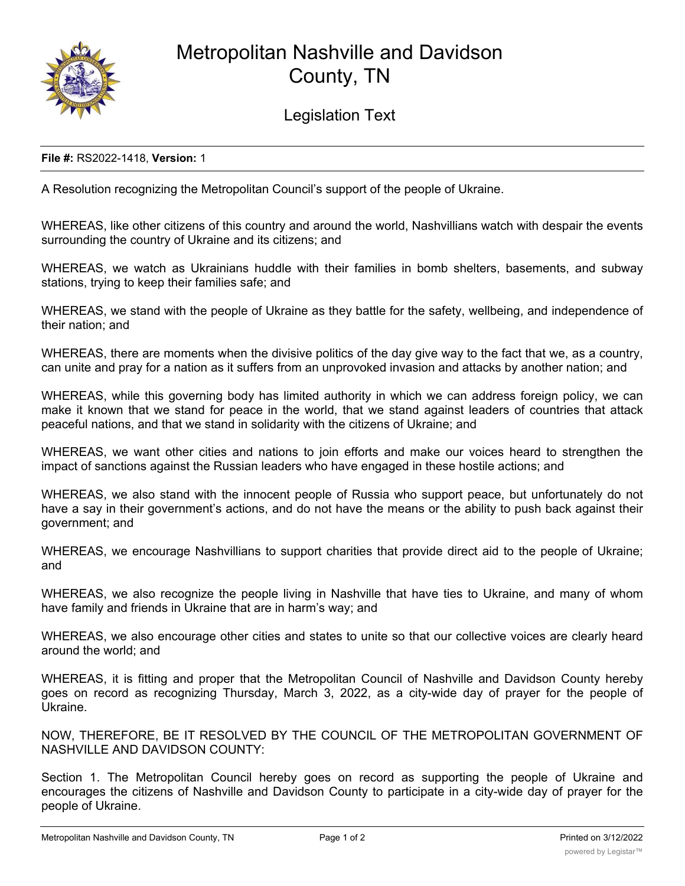

## Metropolitan Nashville and Davidson County, TN

Legislation Text

## **File #:** RS2022-1418, **Version:** 1

A Resolution recognizing the Metropolitan Council's support of the people of Ukraine.

WHEREAS, like other citizens of this country and around the world, Nashvillians watch with despair the events surrounding the country of Ukraine and its citizens; and

WHEREAS, we watch as Ukrainians huddle with their families in bomb shelters, basements, and subway stations, trying to keep their families safe; and

WHEREAS, we stand with the people of Ukraine as they battle for the safety, wellbeing, and independence of their nation; and

WHEREAS, there are moments when the divisive politics of the day give way to the fact that we, as a country, can unite and pray for a nation as it suffers from an unprovoked invasion and attacks by another nation; and

WHEREAS, while this governing body has limited authority in which we can address foreign policy, we can make it known that we stand for peace in the world, that we stand against leaders of countries that attack peaceful nations, and that we stand in solidarity with the citizens of Ukraine; and

WHEREAS, we want other cities and nations to join efforts and make our voices heard to strengthen the impact of sanctions against the Russian leaders who have engaged in these hostile actions; and

WHEREAS, we also stand with the innocent people of Russia who support peace, but unfortunately do not have a say in their government's actions, and do not have the means or the ability to push back against their government; and

WHEREAS, we encourage Nashvillians to support charities that provide direct aid to the people of Ukraine; and

WHEREAS, we also recognize the people living in Nashville that have ties to Ukraine, and many of whom have family and friends in Ukraine that are in harm's way; and

WHEREAS, we also encourage other cities and states to unite so that our collective voices are clearly heard around the world; and

WHEREAS, it is fitting and proper that the Metropolitan Council of Nashville and Davidson County hereby goes on record as recognizing Thursday, March 3, 2022, as a city-wide day of prayer for the people of Ukraine.

NOW, THEREFORE, BE IT RESOLVED BY THE COUNCIL OF THE METROPOLITAN GOVERNMENT OF NASHVILLE AND DAVIDSON COUNTY:

Section 1. The Metropolitan Council hereby goes on record as supporting the people of Ukraine and encourages the citizens of Nashville and Davidson County to participate in a city-wide day of prayer for the people of Ukraine.